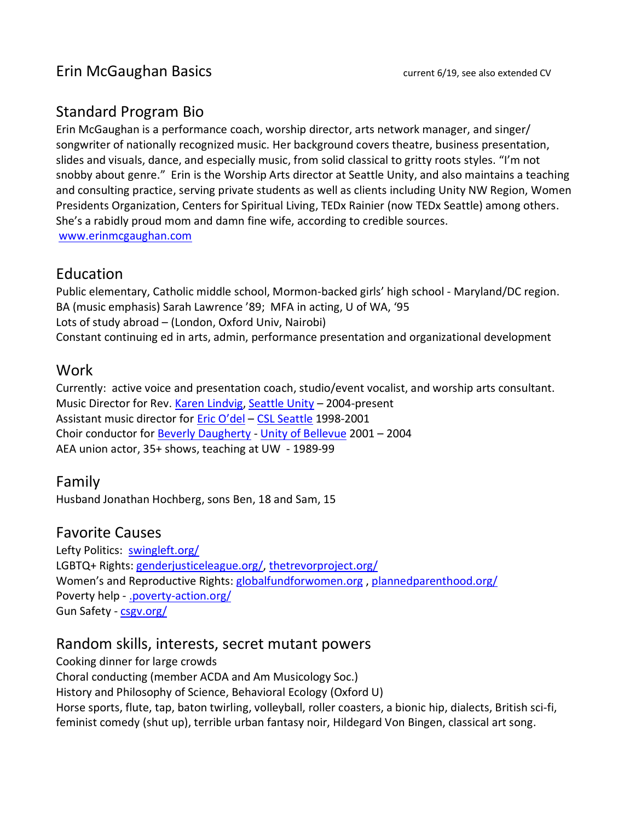# Standard Program Bio

Erin McGaughan is a performance coach, worship director, arts network manager, and singer/ songwriter of nationally recognized music. Her background covers theatre, business presentation, slides and visuals, dance, and especially music, from solid classical to gritty roots styles. "I'm not snobby about genre." Erin is the Worship Arts director at Seattle Unity, and also maintains a teaching and consulting practice, serving private students as well as clients including Unity NW Region, Women Presidents Organization, Centers for Spiritual Living, TEDx Rainier (now TEDx Seattle) among others. She's a rabidly proud mom and damn fine wife, according to credible sources. [www.erinmcgaughan.com](http://www.erinmcgaughan.com/)

## Education

Public elementary, Catholic middle school, Mormon-backed girls' high school - Maryland/DC region. BA (music emphasis) Sarah Lawrence '89; MFA in acting, U of WA, '95 Lots of study abroad – (London, Oxford Univ, Nairobi) Constant continuing ed in arts, admin, performance presentation and organizational development

## Work

Currently: active voice and presentation coach, studio/event vocalist, and worship arts consultant. Music Director for Rev. [Karen Lindvig,](mailto:revkaren@comcast.net) [Seattle Unity](http://seattleunity.org/) – 2004-present Assistant music director for [Eric O'del](mailto:erico@amazingcenter.org) – [CSL Seattle](http://www.spiritualliving.org/) 1998-2001 Choir conductor for [Beverly Daugherty](mailto:beverlyd@spiritualliving.org) - [Unity of Bellevue](http://www.unityofbellevue.org/) 2001 – 2004 AEA union actor, 35+ shows, teaching at UW - 1989-99

# Family

Husband Jonathan Hochberg, sons Ben, 18 and Sam, 15

### Favorite Causes

Lefty Politics: [swingleft.org/](https://swingleft.org/) LGBTQ+ Rights: [genderjusticeleague.org/,](file:///C:/Users/Erin%20McGaughan/Dropbox/Public/SU/genderjusticeleague.org/) [thetrevorproject.org/](http://www.thetrevorproject.org/) Women's and Reproductive Rights: [globalfundforwomen.org](http://globalfundforwomen.org/) , [plannedparenthood.org/](http://www.plannedparenthood.org/) Poverty help - [.poverty-action.org/](http://www.poverty-action.org/)  Gun Safety - [csgv.org/](http://csgv.org/)

# Random skills, interests, secret mutant powers

Cooking dinner for large crowds Choral conducting (member ACDA and Am Musicology Soc.) History and Philosophy of Science, Behavioral Ecology (Oxford U) Horse sports, flute, tap, baton twirling, volleyball, roller coasters, a bionic hip, dialects, British sci-fi, feminist comedy (shut up), terrible urban fantasy noir, Hildegard Von Bingen, classical art song.